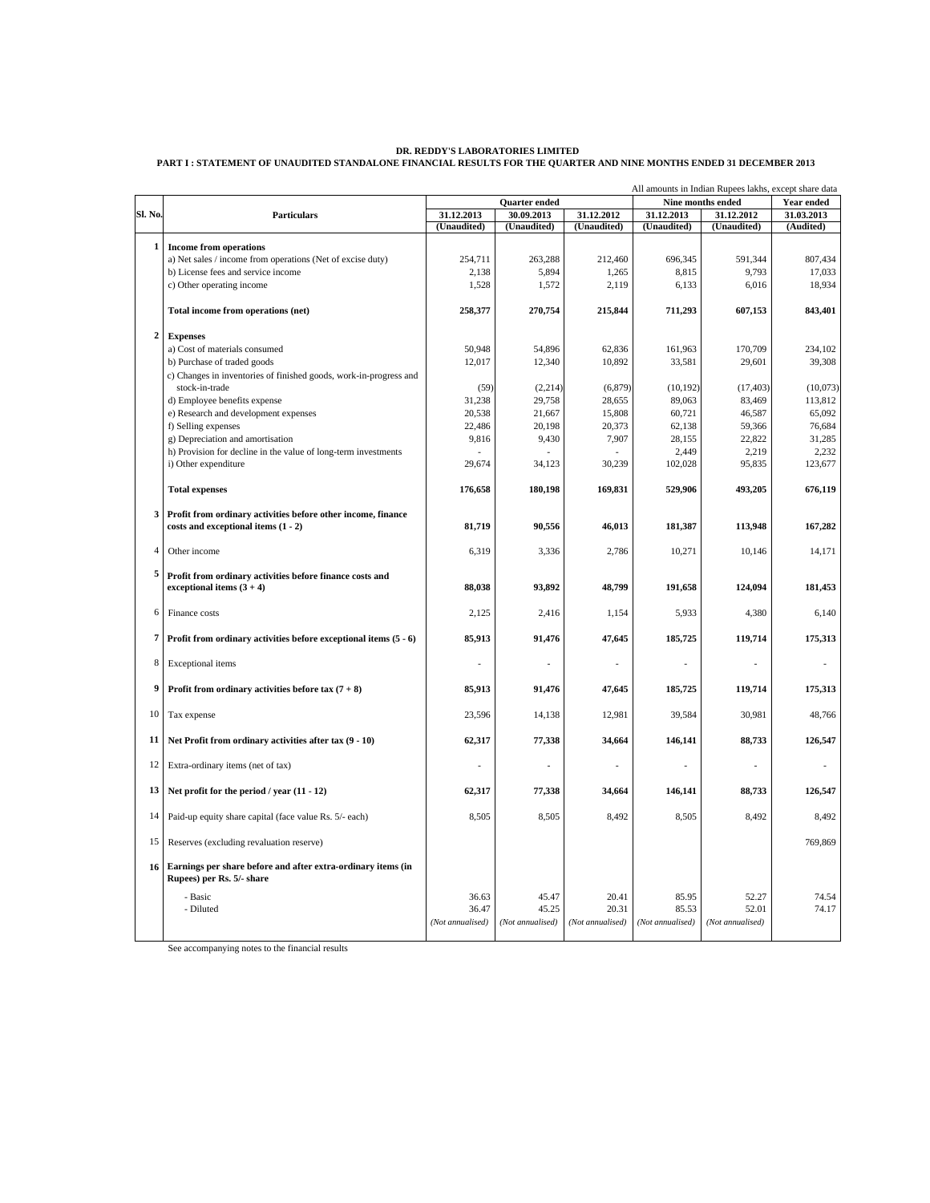### **DR. REDDY'S LABORATORIES LIMITED PART I : STATEMENT OF UNAUDITED STANDALONE FINANCIAL RESULTS FOR THE QUARTER AND NINE MONTHS ENDED 31 DECEMBER 2013**

|                |                                                                                                     | All amounts in Indian Rupees lakhs, except share data |                      |                  |                   |                  |            |
|----------------|-----------------------------------------------------------------------------------------------------|-------------------------------------------------------|----------------------|------------------|-------------------|------------------|------------|
|                |                                                                                                     |                                                       | <b>Ouarter</b> ended |                  | Nine months ended |                  | Year ended |
| Sl. No.        | <b>Particulars</b>                                                                                  | 31.12.2013                                            | 30.09.2013           | 31.12.2012       | 31.12.2013        | 31.12.2012       | 31.03.2013 |
|                |                                                                                                     | (Unaudited)                                           | (Unaudited)          | (Unaudited)      | (Unaudited)       | (Unaudited)      | (Audited)  |
| $\mathbf{1}$   | <b>Income from operations</b>                                                                       |                                                       |                      |                  |                   |                  |            |
|                | a) Net sales / income from operations (Net of excise duty)                                          | 254,711                                               | 263,288              | 212,460          | 696,345           | 591,344          | 807,434    |
|                | b) License fees and service income                                                                  | 2,138                                                 | 5,894                | 1,265            | 8,815             | 9,793            | 17,033     |
|                | c) Other operating income                                                                           | 1,528                                                 | 1,572                | 2,119            | 6,133             | 6,016            | 18,934     |
|                |                                                                                                     |                                                       |                      |                  |                   |                  |            |
|                | Total income from operations (net)                                                                  | 258,377                                               | 270,754              | 215,844          | 711,293           | 607.153          | 843,401    |
| $\overline{2}$ | <b>Expenses</b>                                                                                     |                                                       |                      |                  |                   |                  |            |
|                | a) Cost of materials consumed                                                                       | 50,948                                                | 54,896               | 62,836           | 161,963           | 170,709          | 234,102    |
|                | b) Purchase of traded goods                                                                         | 12,017                                                | 12,340               | 10,892           | 33,581            | 29,601           | 39,308     |
|                | c) Changes in inventories of finished goods, work-in-progress and                                   |                                                       |                      |                  |                   |                  |            |
|                | stock-in-trade                                                                                      | (59)                                                  | (2,214)              | (6, 879)         | (10, 192)         | (17, 403)        | (10,073)   |
|                | d) Employee benefits expense                                                                        | 31,238                                                | 29,758               | 28,655           | 89,063            | 83,469           | 113,812    |
|                | e) Research and development expenses                                                                | 20,538                                                | 21,667               | 15,808           | 60,721            | 46,587           | 65,092     |
|                | f) Selling expenses                                                                                 | 22,486                                                | 20,198               | 20,373           | 62,138            | 59,366           | 76,684     |
|                | g) Depreciation and amortisation                                                                    | 9,816                                                 | 9,430                | 7,907            | 28,155            | 22,822           | 31,285     |
|                | h) Provision for decline in the value of long-term investments                                      |                                                       |                      |                  | 2,449             | 2,219            | 2,232      |
|                | i) Other expenditure                                                                                | 29,674                                                | 34,123               | 30,239           | 102,028           | 95,835           | 123,677    |
|                | <b>Total expenses</b>                                                                               | 176,658                                               | 180,198              | 169,831          | 529,906           | 493,205          | 676,119    |
| 3              | Profit from ordinary activities before other income, finance<br>costs and exceptional items (1 - 2) | 81,719                                                | 90,556               | 46,013           | 181,387           | 113,948          | 167,282    |
|                |                                                                                                     |                                                       |                      |                  |                   |                  |            |
| $\overline{4}$ | Other income                                                                                        | 6,319                                                 | 3,336                | 2,786            | 10,271            | 10,146           | 14,171     |
| 5              | Profit from ordinary activities before finance costs and<br>exceptional items $(3 + 4)$             | 88,038                                                | 93,892               | 48,799           | 191,658           | 124,094          | 181,453    |
| 6              | Finance costs                                                                                       | 2,125                                                 | 2,416                | 1,154            | 5,933             | 4,380            | 6,140      |
| 7              | Profit from ordinary activities before exceptional items $(5 - 6)$                                  | 85,913                                                | 91,476               | 47,645           | 185,725           | 119,714          | 175,313    |
| 8              | Exceptional items                                                                                   |                                                       | J.                   |                  | ÷,                |                  |            |
| 9              | Profit from ordinary activities before tax $(7 + 8)$                                                | 85,913                                                | 91,476               | 47,645           | 185,725           | 119,714          | 175,313    |
| 10             | Tax expense                                                                                         | 23,596                                                | 14,138               | 12,981           | 39,584            | 30,981           | 48,766     |
| 11             | Net Profit from ordinary activities after tax $(9 - 10)$                                            | 62,317                                                | 77,338               | 34,664           | 146,141           | 88,733           | 126,547    |
| 12             | Extra-ordinary items (net of tax)                                                                   |                                                       |                      |                  | $\overline{a}$    | $\overline{a}$   |            |
| 13             | Net profit for the period / year $(11 - 12)$                                                        | 62,317                                                | 77,338               | 34,664           | 146,141           | 88,733           | 126,547    |
| 14             | Paid-up equity share capital (face value Rs. 5/- each)                                              | 8,505                                                 | 8,505                | 8,492            | 8,505             | 8,492            | 8,492      |
| 15             | Reserves (excluding revaluation reserve)                                                            |                                                       |                      |                  |                   |                  | 769,869    |
| 16             | Earnings per share before and after extra-ordinary items (in<br>Rupees) per Rs. 5/- share           |                                                       |                      |                  |                   |                  |            |
|                | - Basic                                                                                             | 36.63                                                 | 45.47                | 20.41            | 85.95             | 52.27            | 74.54      |
|                | - Diluted                                                                                           | 36.47                                                 | 45.25                | 20.31            | 85.53             | 52.01            | 74.17      |
|                |                                                                                                     | (Not annualised)                                      | (Not annualised)     | (Not annualised) | (Not annualised)  | (Not annualised) |            |
|                |                                                                                                     |                                                       |                      |                  |                   |                  |            |

See accompanying notes to the financial results